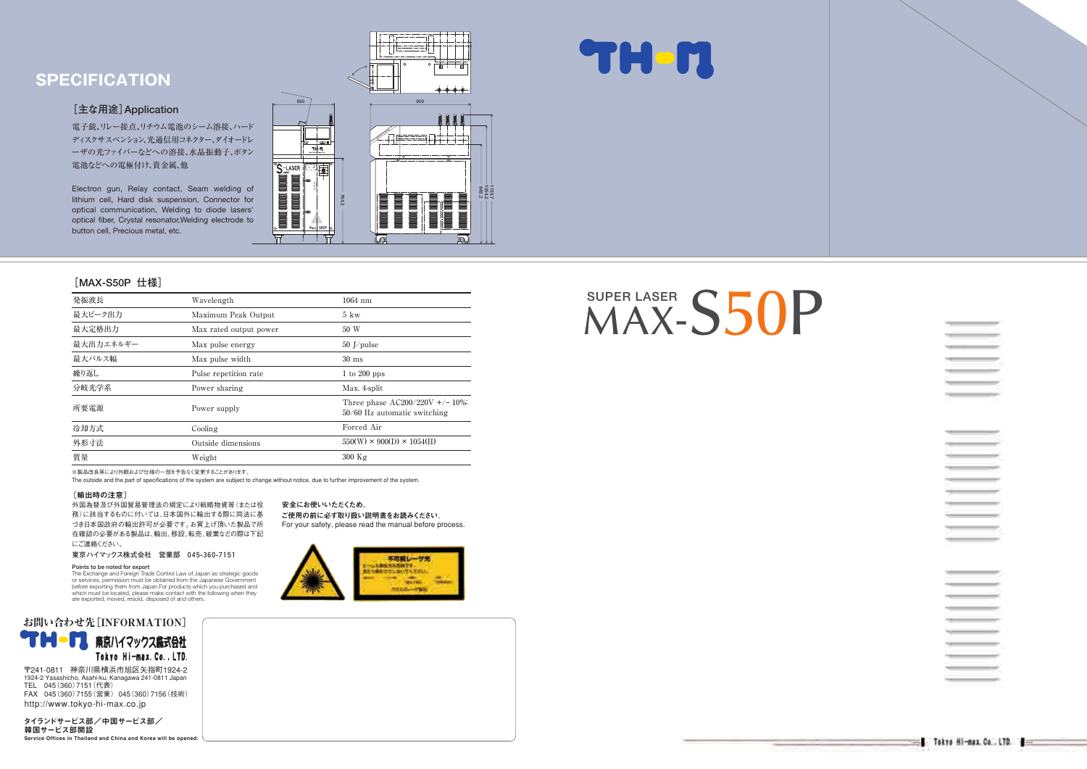※製品改良等により外観および仕様の一部を予告なく変更することがあります。

The outside and the part of specifications of the system are subject to change without notice, due to further improvement of the system.

#### 安全にお使いいただくため、

ご使用の前に必ず取り扱い説明書をお読みください。 For your safety, please read the manual before process.



## **[MAX-S50P 仕様]**

#### **[主な用途]Application�**

電子銃、リレー接点、リチウム電池のシーム溶接、ハード ディスクサスペンション、光通信用コネクター、ダイオードレ ーザの光ファイバーなどへの溶接、水晶振動子、ボタン 電池などへの電極付け、貴金属、他

Electron gun, Relay contact, Seam welding of lithium cell, Hard disk suspension, Connector for optical communication, Welding to diode lasers' optical fiber, Crystal resonator,Welding electrode to button cell, Precious metal, etc.



# SUPER LASER
S50P



 $\equiv$ **Contractor** 

| 発振波長      | Wavelength             | $1064$ nm                                                           |
|-----------|------------------------|---------------------------------------------------------------------|
| 最大ピーク出力   | Maximum Peak Output    | $5 \text{kw}$                                                       |
| 最大定格出力    | Max rated output power | 50 W                                                                |
| 最大出力エネルギー | Max pulse energy       | $50$ J/pulse                                                        |
| 最大パルス幅    | Max pulse width        | $30 \text{ ms}$                                                     |
| 繰り返し      | Pulse repetition rate  | 1 to 200 pps                                                        |
| 分岐光学系     | Power sharing          | Max. 4-split                                                        |
| 所要電源      | Power supply           | Three phase $AC200/220V +/- 10\%$<br>$50/60$ Hz automatic switching |
| 冷却方式      | Cooling                | Forced Air                                                          |
| 外形寸法      | Outside dimensions     | $550(W) \times 900(D) \times 1054(H)$                               |
| 質量        | Weight                 | $300$ Kg                                                            |

## **SPECIFICATION**

#### 〔輸出時の注意〕

外国為替及び外国貿易管理法の規定により戦略物資等(または役 務)に該当するものに付いては、日本国外に輸出する際に同法に基 づき日本国政府の輸出許可が必要です。お買上げ頂いた製品で所 在確認の必要がある製品は、輸出、移設、転売、破棄などの際は下記 にご連絡ください。

**東京ハイマックス株式会社 営業部 045-360-7151�**

#### Points to be noted for export

Service Offices in Thailand and China and Korea will be opened.

The Exchange and Foreign Trade Control Law of Japan as strategic goods or services, permission must be obtained from the Japanese Government before exporting them from Japan.For products which you purchased and which must be located, please make contact with the following when they are exported, moved, resold, disposed of and others.